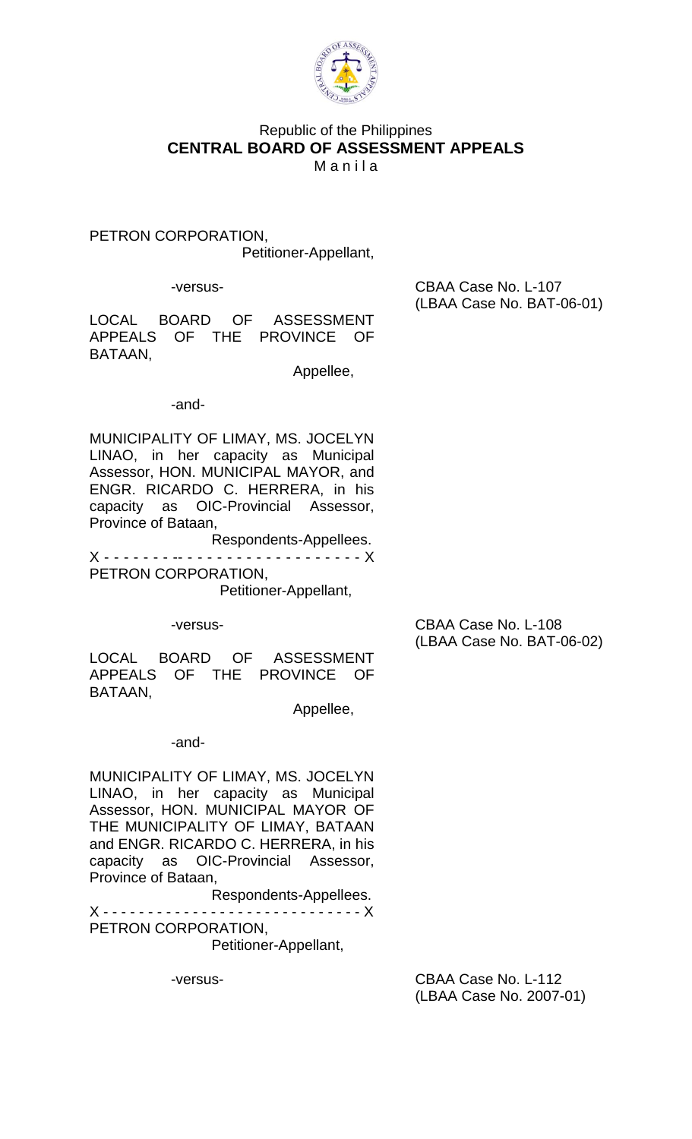

# Republic of the Philippines **CENTRAL BOARD OF ASSESSMENT APPEALS Manila**

PETRON CORPORATION, Petitioner-Appellant,

 -versus- CBAA Case No. L-107 (LBAA Case No. BAT-06-01)

LOCAL BOARD OF ASSESSMENT APPEALS OF THE PROVINCE OF BATAAN,

Appellee,

## -and-

MUNICIPALITY OF LIMAY, MS. JOCELYN LINAO, in her capacity as Municipal Assessor, HON. MUNICIPAL MAYOR, and ENGR. RICARDO C. HERRERA, in his capacity as OIC-Provincial Assessor, Province of Bataan,

Respondents-Appellees. X - - - - - - - -- - - - - - - - - - - - - - - - - - - X PETRON CORPORATION,

Petitioner-Appellant,

-versus- CBAA Case No. L-108 (LBAA Case No. BAT-06-02)

LOCAL BOARD OF ASSESSMENT APPEALS OF THE PROVINCE OF BATAAN,

Appellee,

-and-

MUNICIPALITY OF LIMAY, MS. JOCELYN LINAO, in her capacity as Municipal Assessor, HON. MUNICIPAL MAYOR OF THE MUNICIPALITY OF LIMAY, BATAAN and ENGR. RICARDO C. HERRERA, in his capacity as OIC-Provincial Assessor, Province of Bataan,

Respondents-Appellees. X - - - - - - - - - - - - - - - - - - - - - - - - - - - - - X PETRON CORPORATION, Petitioner-Appellant,

-versus- CBAA Case No. L-112 (LBAA Case No. 2007-01)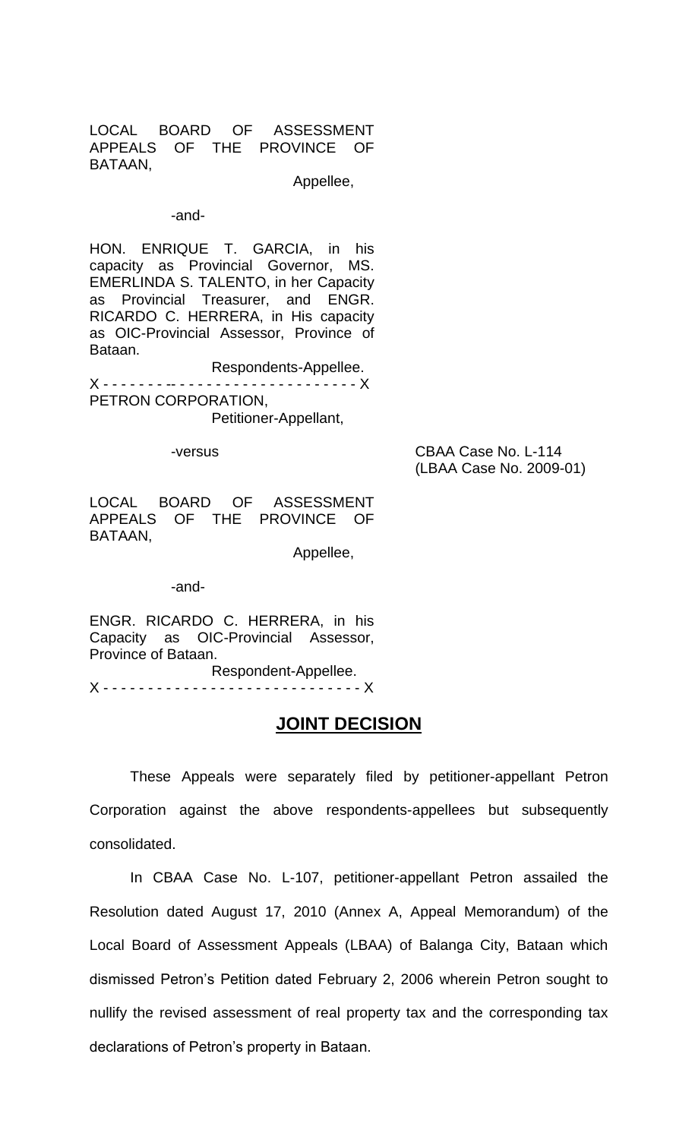LOCAL BOARD OF ASSESSMENT APPEALS OF THE PROVINCE OF BATAAN,

Appellee,

#### -and-

HON. ENRIQUE T. GARCIA, in his capacity as Provincial Governor, MS. EMERLINDA S. TALENTO, in her Capacity as Provincial Treasurer, and ENGR. RICARDO C. HERRERA, in His capacity as OIC-Provincial Assessor, Province of Bataan.

Respondents-Appellee. X - - - - - - - -- - - - - - - - - - - - - - - - - - - - - X PETRON CORPORATION, Petitioner-Appellant,

-versus CBAA Case No. L-114 (LBAA Case No. 2009-01)

LOCAL BOARD OF ASSESSMENT APPEALS OF THE PROVINCE OF BATAAN,

Appellee,

-and-

ENGR. RICARDO C. HERRERA, in his Capacity as OIC-Provincial Assessor, Province of Bataan. Respondent-Appellee.

X - - - - - - - - - - - - - - - - - - - - - - - - - - - - - X

# **JOINT DECISION**

These Appeals were separately filed by petitioner-appellant Petron Corporation against the above respondents-appellees but subsequently consolidated.

In CBAA Case No. L-107, petitioner-appellant Petron assailed the Resolution dated August 17, 2010 (Annex A, Appeal Memorandum) of the Local Board of Assessment Appeals (LBAA) of Balanga City, Bataan which dismissed Petron's Petition dated February 2, 2006 wherein Petron sought to nullify the revised assessment of real property tax and the corresponding tax declarations of Petron's property in Bataan.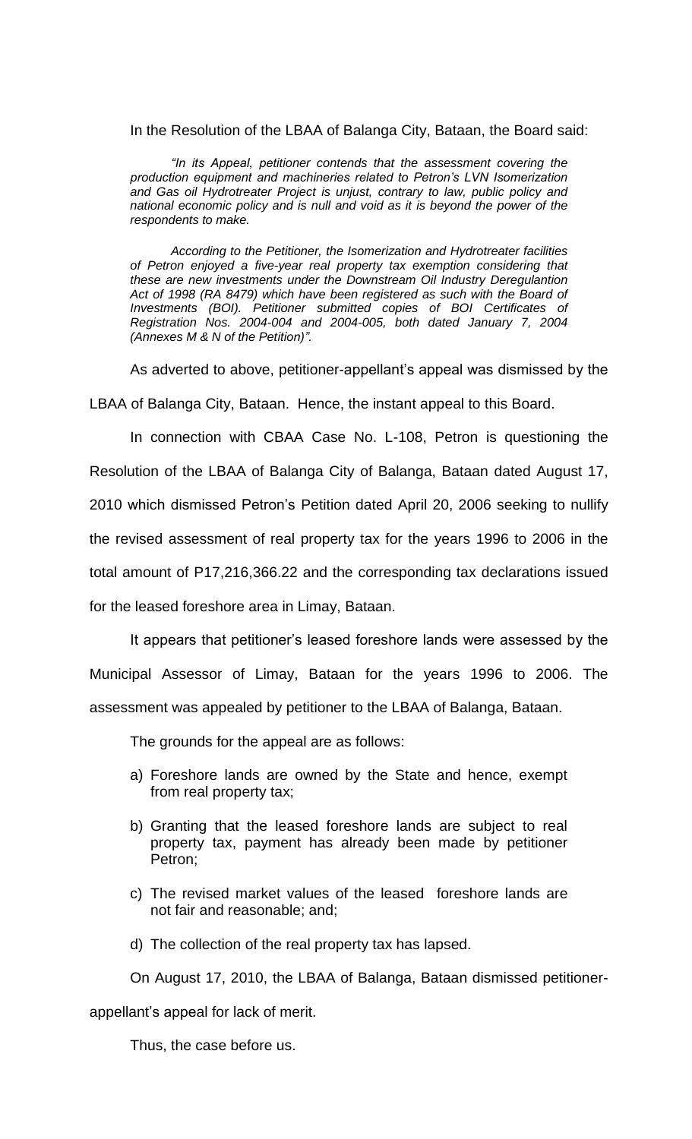## In the Resolution of the LBAA of Balanga City, Bataan, the Board said:

*"In its Appeal, petitioner contends that the assessment covering the production equipment and machineries related to Petron's LVN Isomerization and Gas oil Hydrotreater Project is unjust, contrary to law, public policy and national economic policy and is null and void as it is beyond the power of the respondents to make.*

*According to the Petitioner, the Isomerization and Hydrotreater facilities of Petron enjoyed a five-year real property tax exemption considering that these are new investments under the Downstream Oil Industry Deregulantion Act of 1998 (RA 8479) which have been registered as such with the Board of Investments (BOI). Petitioner submitted copies of BOI Certificates of Registration Nos. 2004-004 and 2004-005, both dated January 7, 2004 (Annexes M & N of the Petition)".*

As adverted to above, petitioner-appellant's appeal was dismissed by the

LBAA of Balanga City, Bataan. Hence, the instant appeal to this Board.

In connection with CBAA Case No. L-108, Petron is questioning the Resolution of the LBAA of Balanga City of Balanga, Bataan dated August 17, 2010 which dismissed Petron's Petition dated April 20, 2006 seeking to nullify the revised assessment of real property tax for the years 1996 to 2006 in the total amount of P17,216,366.22 and the corresponding tax declarations issued for the leased foreshore area in Limay, Bataan.

It appears that petitioner's leased foreshore lands were assessed by the Municipal Assessor of Limay, Bataan for the years 1996 to 2006. The assessment was appealed by petitioner to the LBAA of Balanga, Bataan.

The grounds for the appeal are as follows:

- a) Foreshore lands are owned by the State and hence, exempt from real property tax;
- b) Granting that the leased foreshore lands are subject to real property tax, payment has already been made by petitioner Petron;
- c) The revised market values of the leased foreshore lands are not fair and reasonable; and;

d) The collection of the real property tax has lapsed.

On August 17, 2010, the LBAA of Balanga, Bataan dismissed petitioner-

appellant's appeal for lack of merit.

Thus, the case before us.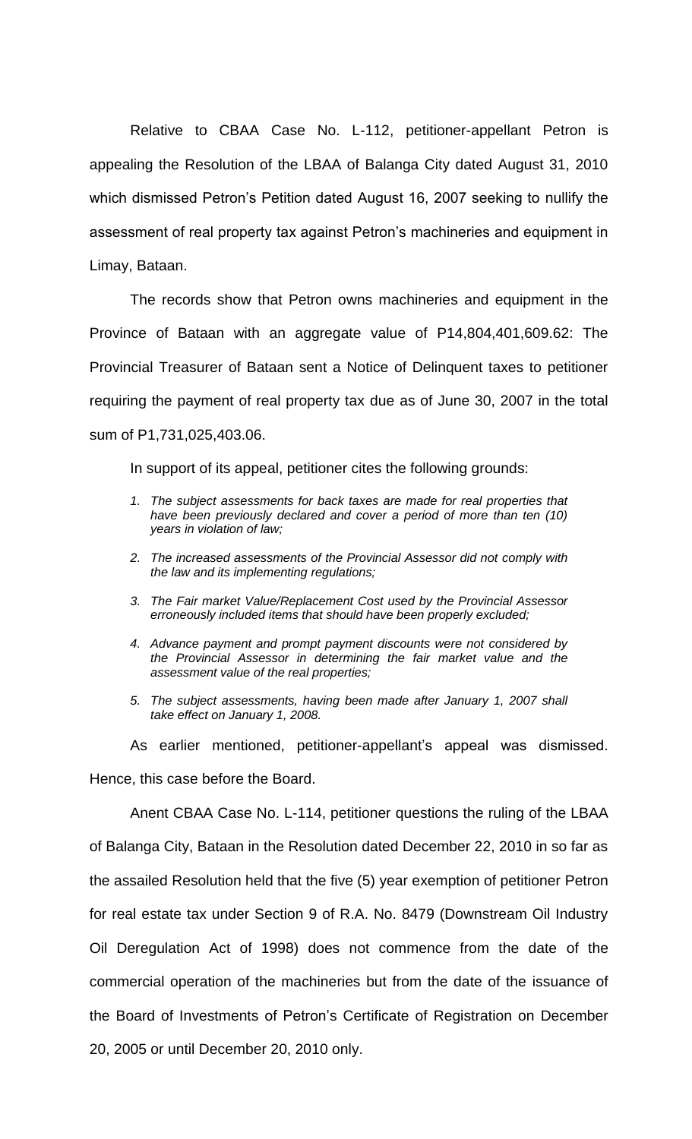Relative to CBAA Case No. L-112, petitioner-appellant Petron is appealing the Resolution of the LBAA of Balanga City dated August 31, 2010 which dismissed Petron's Petition dated August 16, 2007 seeking to nullify the assessment of real property tax against Petron's machineries and equipment in Limay, Bataan.

The records show that Petron owns machineries and equipment in the Province of Bataan with an aggregate value of P14,804,401,609.62: The Provincial Treasurer of Bataan sent a Notice of Delinquent taxes to petitioner requiring the payment of real property tax due as of June 30, 2007 in the total sum of P1,731,025,403.06.

In support of its appeal, petitioner cites the following grounds:

- *1. The subject assessments for back taxes are made for real properties that have been previously declared and cover a period of more than ten (10) years in violation of law;*
- *2. The increased assessments of the Provincial Assessor did not comply with the law and its implementing regulations;*
- *3. The Fair market Value/Replacement Cost used by the Provincial Assessor erroneously included items that should have been properly excluded;*
- *4. Advance payment and prompt payment discounts were not considered by the Provincial Assessor in determining the fair market value and the assessment value of the real properties;*
- *5. The subject assessments, having been made after January 1, 2007 shall take effect on January 1, 2008.*

As earlier mentioned, petitioner-appellant's appeal was dismissed. Hence, this case before the Board.

Anent CBAA Case No. L-114, petitioner questions the ruling of the LBAA of Balanga City, Bataan in the Resolution dated December 22, 2010 in so far as the assailed Resolution held that the five (5) year exemption of petitioner Petron for real estate tax under Section 9 of R.A. No. 8479 (Downstream Oil Industry Oil Deregulation Act of 1998) does not commence from the date of the commercial operation of the machineries but from the date of the issuance of the Board of Investments of Petron's Certificate of Registration on December 20, 2005 or until December 20, 2010 only.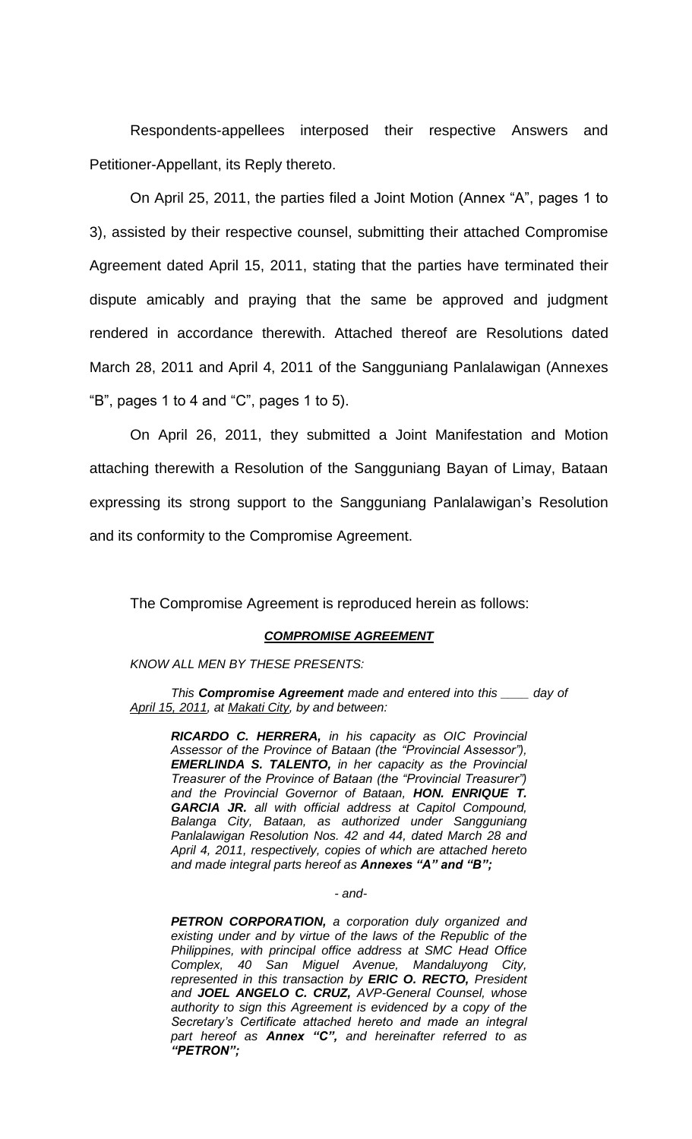Respondents-appellees interposed their respective Answers and Petitioner-Appellant, its Reply thereto.

 On April 25, 2011, the parties filed a Joint Motion (Annex "A", pages 1 to 3), assisted by their respective counsel, submitting their attached Compromise Agreement dated April 15, 2011, stating that the parties have terminated their dispute amicably and praying that the same be approved and judgment rendered in accordance therewith. Attached thereof are Resolutions dated March 28, 2011 and April 4, 2011 of the Sangguniang Panlalawigan (Annexes "B", pages 1 to 4 and "C", pages 1 to 5).

On April 26, 2011, they submitted a Joint Manifestation and Motion attaching therewith a Resolution of the Sangguniang Bayan of Limay, Bataan expressing its strong support to the Sangguniang Panlalawigan's Resolution and its conformity to the Compromise Agreement.

The Compromise Agreement is reproduced herein as follows:

#### *COMPROMISE AGREEMENT*

*KNOW ALL MEN BY THESE PRESENTS:*

*This Compromise Agreement made and entered into this \_\_\_\_ day of April 15, 2011, at Makati City, by and between:*

*RICARDO C. HERRERA, in his capacity as OIC Provincial Assessor of the Province of Bataan (the "Provincial Assessor"), EMERLINDA S. TALENTO, in her capacity as the Provincial Treasurer of the Province of Bataan (the "Provincial Treasurer") and the Provincial Governor of Bataan, HON. ENRIQUE T. GARCIA JR. all with official address at Capitol Compound, Balanga City, Bataan, as authorized under Sangguniang Panlalawigan Resolution Nos. 42 and 44, dated March 28 and April 4, 2011, respectively, copies of which are attached hereto and made integral parts hereof as Annexes "A" and "B";*

#### *- and-*

*PETRON CORPORATION, a corporation duly organized and existing under and by virtue of the laws of the Republic of the Philippines, with principal office address at SMC Head Office Complex, 40 San Miguel Avenue, Mandaluyong City, represented in this transaction by ERIC O. RECTO, President and JOEL ANGELO C. CRUZ, AVP-General Counsel, whose authority to sign this Agreement is evidenced by a copy of the Secretary's Certificate attached hereto and made an integral part hereof as Annex "C", and hereinafter referred to as "PETRON";*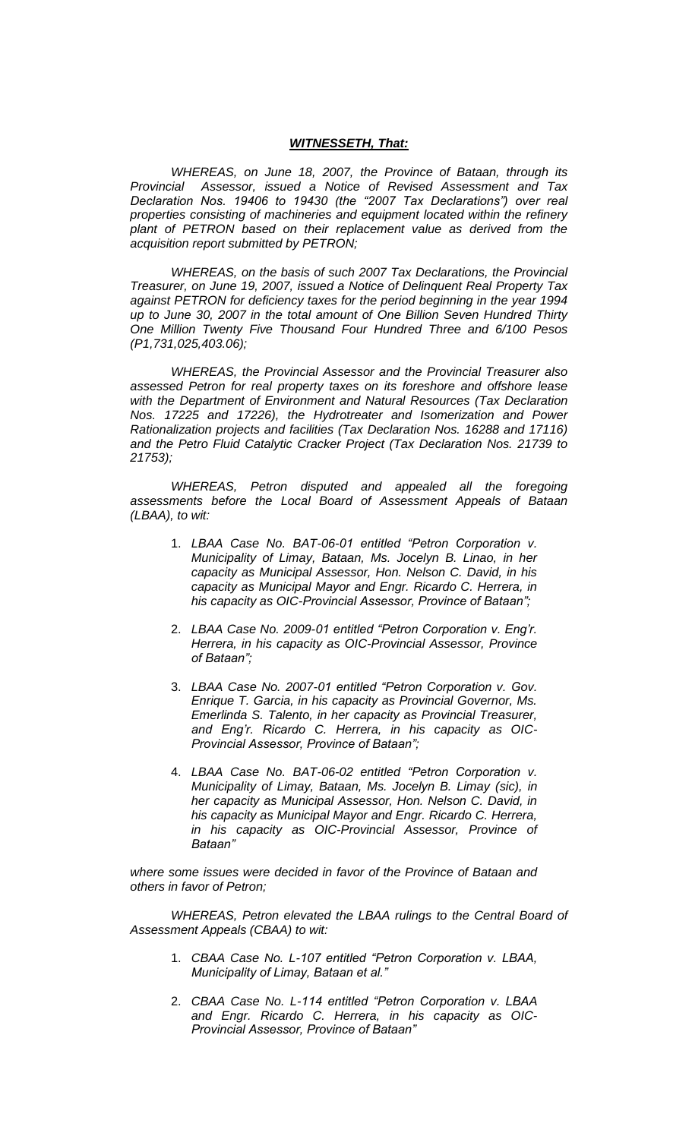#### *WITNESSETH, That:*

*WHEREAS, on June 18, 2007, the Province of Bataan, through its Provincial Assessor, issued a Notice of Revised Assessment and Tax Declaration Nos. 19406 to 19430 (the "2007 Tax Declarations") over real properties consisting of machineries and equipment located within the refinery plant of PETRON based on their replacement value as derived from the acquisition report submitted by PETRON;*

*WHEREAS, on the basis of such 2007 Tax Declarations, the Provincial Treasurer, on June 19, 2007, issued a Notice of Delinquent Real Property Tax against PETRON for deficiency taxes for the period beginning in the year 1994 up to June 30, 2007 in the total amount of One Billion Seven Hundred Thirty One Million Twenty Five Thousand Four Hundred Three and 6/100 Pesos (P1,731,025,403.06);*

*WHEREAS, the Provincial Assessor and the Provincial Treasurer also assessed Petron for real property taxes on its foreshore and offshore lease with the Department of Environment and Natural Resources (Tax Declaration Nos. 17225 and 17226), the Hydrotreater and Isomerization and Power Rationalization projects and facilities (Tax Declaration Nos. 16288 and 17116) and the Petro Fluid Catalytic Cracker Project (Tax Declaration Nos. 21739 to 21753);*

*WHEREAS, Petron disputed and appealed all the foregoing assessments before the Local Board of Assessment Appeals of Bataan (LBAA), to wit:*

- 1. *LBAA Case No. BAT-06-01 entitled "Petron Corporation v. Municipality of Limay, Bataan, Ms. Jocelyn B. Linao, in her capacity as Municipal Assessor, Hon. Nelson C. David, in his capacity as Municipal Mayor and Engr. Ricardo C. Herrera, in his capacity as OIC-Provincial Assessor, Province of Bataan";*
- 2. *LBAA Case No. 2009-01 entitled "Petron Corporation v. Eng'r. Herrera, in his capacity as OIC-Provincial Assessor, Province of Bataan";*
- 3. *LBAA Case No. 2007-01 entitled "Petron Corporation v. Gov. Enrique T. Garcia, in his capacity as Provincial Governor, Ms. Emerlinda S. Talento, in her capacity as Provincial Treasurer, and Eng'r. Ricardo C. Herrera, in his capacity as OIC-Provincial Assessor, Province of Bataan";*
- 4. *LBAA Case No. BAT-06-02 entitled "Petron Corporation v. Municipality of Limay, Bataan, Ms. Jocelyn B. Limay (sic), in her capacity as Municipal Assessor, Hon. Nelson C. David, in his capacity as Municipal Mayor and Engr. Ricardo C. Herrera, in his capacity as OIC-Provincial Assessor, Province of Bataan"*

*where some issues were decided in favor of the Province of Bataan and others in favor of Petron;*

*WHEREAS, Petron elevated the LBAA rulings to the Central Board of Assessment Appeals (CBAA) to wit:*

- 1. *CBAA Case No. L-107 entitled "Petron Corporation v. LBAA, Municipality of Limay, Bataan et al."*
- 2. *CBAA Case No. L-114 entitled "Petron Corporation v. LBAA and Engr. Ricardo C. Herrera, in his capacity as OIC-Provincial Assessor, Province of Bataan"*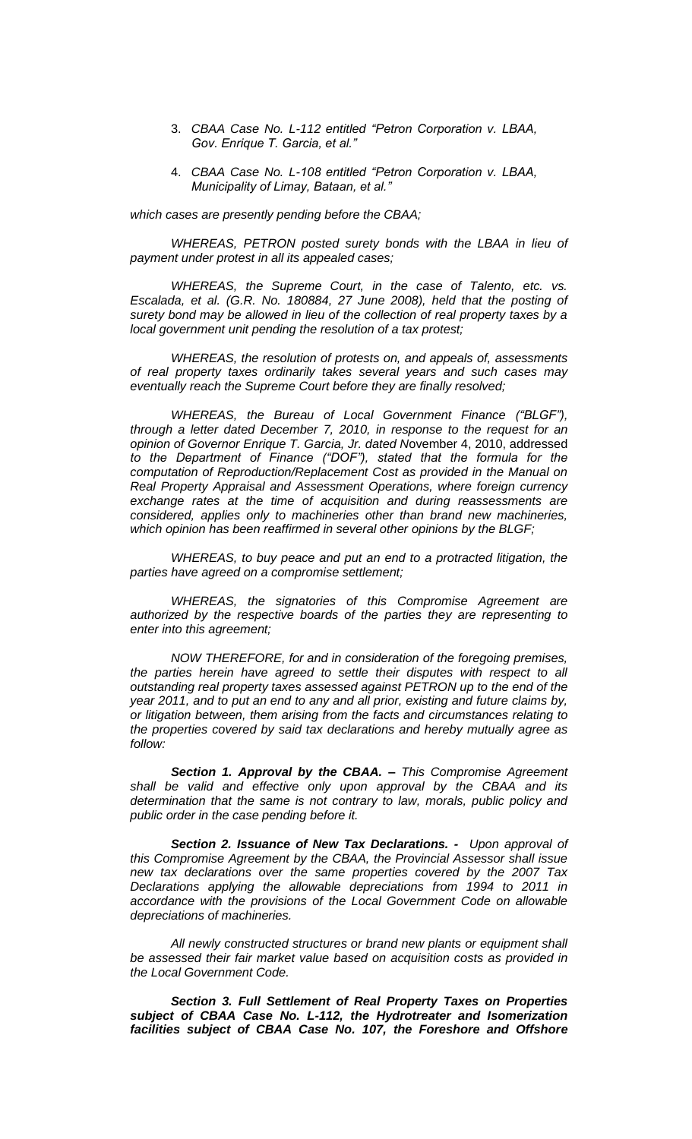- 3. *CBAA Case No. L-112 entitled "Petron Corporation v. LBAA, Gov. Enrique T. Garcia, et al."*
- 4. *CBAA Case No. L-108 entitled "Petron Corporation v. LBAA, Municipality of Limay, Bataan, et al."*

*which cases are presently pending before the CBAA;*

*WHEREAS, PETRON posted surety bonds with the LBAA in lieu of payment under protest in all its appealed cases;*

*WHEREAS, the Supreme Court, in the case of Talento, etc. vs. Escalada, et al. (G.R. No. 180884, 27 June 2008), held that the posting of surety bond may be allowed in lieu of the collection of real property taxes by a local government unit pending the resolution of a tax protest;*

*WHEREAS, the resolution of protests on, and appeals of, assessments of real property taxes ordinarily takes several years and such cases may eventually reach the Supreme Court before they are finally resolved;*

*WHEREAS, the Bureau of Local Government Finance ("BLGF"), through a letter dated December 7, 2010, in response to the request for an opinion of Governor Enrique T. Garcia, Jr. dated N*ovember 4, 2010, addressed *to the Department of Finance ("DOF"), stated that the formula for the computation of Reproduction/Replacement Cost as provided in the Manual on Real Property Appraisal and Assessment Operations, where foreign currency exchange rates at the time of acquisition and during reassessments are considered, applies only to machineries other than brand new machineries, which opinion has been reaffirmed in several other opinions by the BLGF;*

*WHEREAS, to buy peace and put an end to a protracted litigation, the parties have agreed on a compromise settlement;*

*WHEREAS, the signatories of this Compromise Agreement are authorized by the respective boards of the parties they are representing to enter into this agreement;*

*NOW THEREFORE, for and in consideration of the foregoing premises, the parties herein have agreed to settle their disputes with respect to all outstanding real property taxes assessed against PETRON up to the end of the year 2011, and to put an end to any and all prior, existing and future claims by, or litigation between, them arising from the facts and circumstances relating to the properties covered by said tax declarations and hereby mutually agree as follow:*

*Section 1. Approval by the CBAA. – This Compromise Agreement shall be valid and effective only upon approval by the CBAA and its determination that the same is not contrary to law, morals, public policy and public order in the case pending before it.*

*Section 2. Issuance of New Tax Declarations. - Upon approval of this Compromise Agreement by the CBAA, the Provincial Assessor shall issue new tax declarations over the same properties covered by the 2007 Tax Declarations applying the allowable depreciations from 1994 to 2011 in accordance with the provisions of the Local Government Code on allowable depreciations of machineries.*

*All newly constructed structures or brand new plants or equipment shall be assessed their fair market value based on acquisition costs as provided in the Local Government Code.*

*Section 3. Full Settlement of Real Property Taxes on Properties subject of CBAA Case No. L-112, the Hydrotreater and Isomerization facilities subject of CBAA Case No. 107, the Foreshore and Offshore*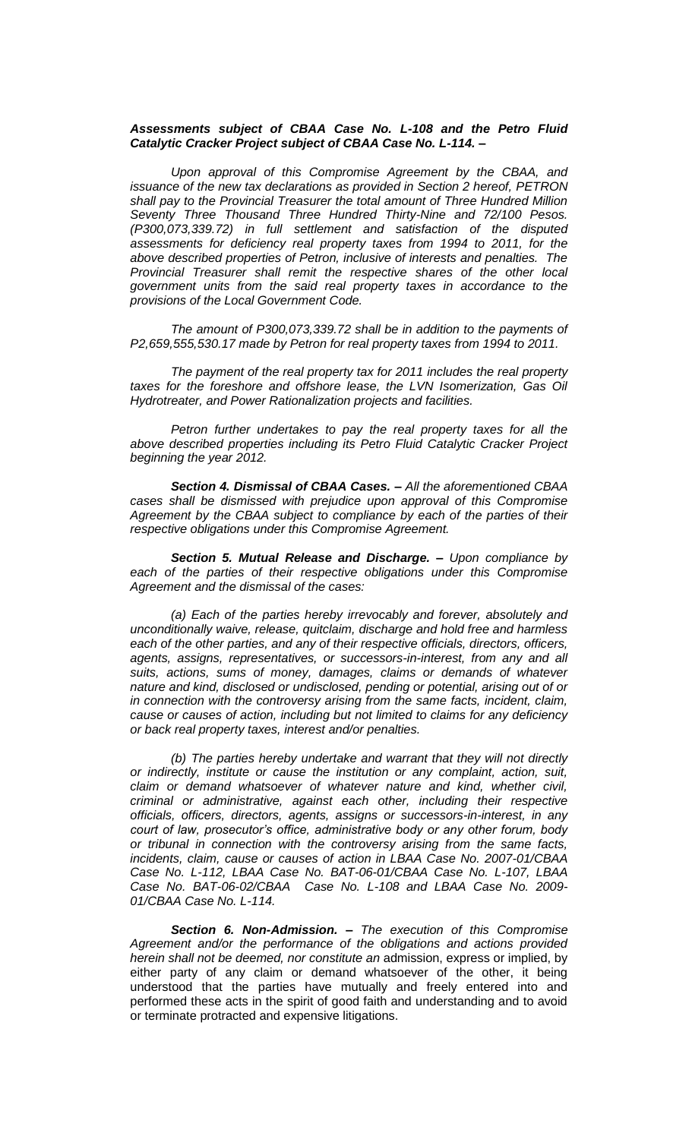#### *Assessments subject of CBAA Case No. L-108 and the Petro Fluid Catalytic Cracker Project subject of CBAA Case No. L-114. –*

*Upon approval of this Compromise Agreement by the CBAA, and issuance of the new tax declarations as provided in Section 2 hereof, PETRON shall pay to the Provincial Treasurer the total amount of Three Hundred Million Seventy Three Thousand Three Hundred Thirty-Nine and 72/100 Pesos. (P300,073,339.72) in full settlement and satisfaction of the disputed assessments for deficiency real property taxes from 1994 to 2011, for the above described properties of Petron, inclusive of interests and penalties. The Provincial Treasurer shall remit the respective shares of the other local government units from the said real property taxes in accordance to the provisions of the Local Government Code.*

*The amount of P300,073,339.72 shall be in addition to the payments of P2,659,555,530.17 made by Petron for real property taxes from 1994 to 2011.*

*The payment of the real property tax for 2011 includes the real property taxes for the foreshore and offshore lease, the LVN Isomerization, Gas Oil Hydrotreater, and Power Rationalization projects and facilities.*

*Petron further undertakes to pay the real property taxes for all the above described properties including its Petro Fluid Catalytic Cracker Project beginning the year 2012.*

*Section 4. Dismissal of CBAA Cases. – All the aforementioned CBAA cases shall be dismissed with prejudice upon approval of this Compromise Agreement by the CBAA subject to compliance by each of the parties of their respective obligations under this Compromise Agreement.*

*Section 5. Mutual Release and Discharge. – Upon compliance by*  each of the parties of their respective obligations under this Compromise *Agreement and the dismissal of the cases:*

*(a) Each of the parties hereby irrevocably and forever, absolutely and unconditionally waive, release, quitclaim, discharge and hold free and harmless each of the other parties, and any of their respective officials, directors, officers, agents, assigns, representatives, or successors-in-interest, from any and all suits, actions, sums of money, damages, claims or demands of whatever nature and kind, disclosed or undisclosed, pending or potential, arising out of or in connection with the controversy arising from the same facts, incident, claim, cause or causes of action, including but not limited to claims for any deficiency or back real property taxes, interest and/or penalties.*

*(b) The parties hereby undertake and warrant that they will not directly or indirectly, institute or cause the institution or any complaint, action, suit, claim or demand whatsoever of whatever nature and kind, whether civil, criminal or administrative, against each other, including their respective officials, officers, directors, agents, assigns or successors-in-interest, in any court of law, prosecutor's office, administrative body or any other forum, body or tribunal in connection with the controversy arising from the same facts, incidents, claim, cause or causes of action in LBAA Case No. 2007-01/CBAA Case No. L-112, LBAA Case No. BAT-06-01/CBAA Case No. L-107, LBAA Case No. BAT-06-02/CBAA Case No. L-108 and LBAA Case No. 2009- 01/CBAA Case No. L-114.*

 *Section 6. Non-Admission. – The execution of this Compromise Agreement and/or the performance of the obligations and actions provided herein shall not be deemed, nor constitute an* admission, express or implied, by either party of any claim or demand whatsoever of the other, it being understood that the parties have mutually and freely entered into and performed these acts in the spirit of good faith and understanding and to avoid or terminate protracted and expensive litigations.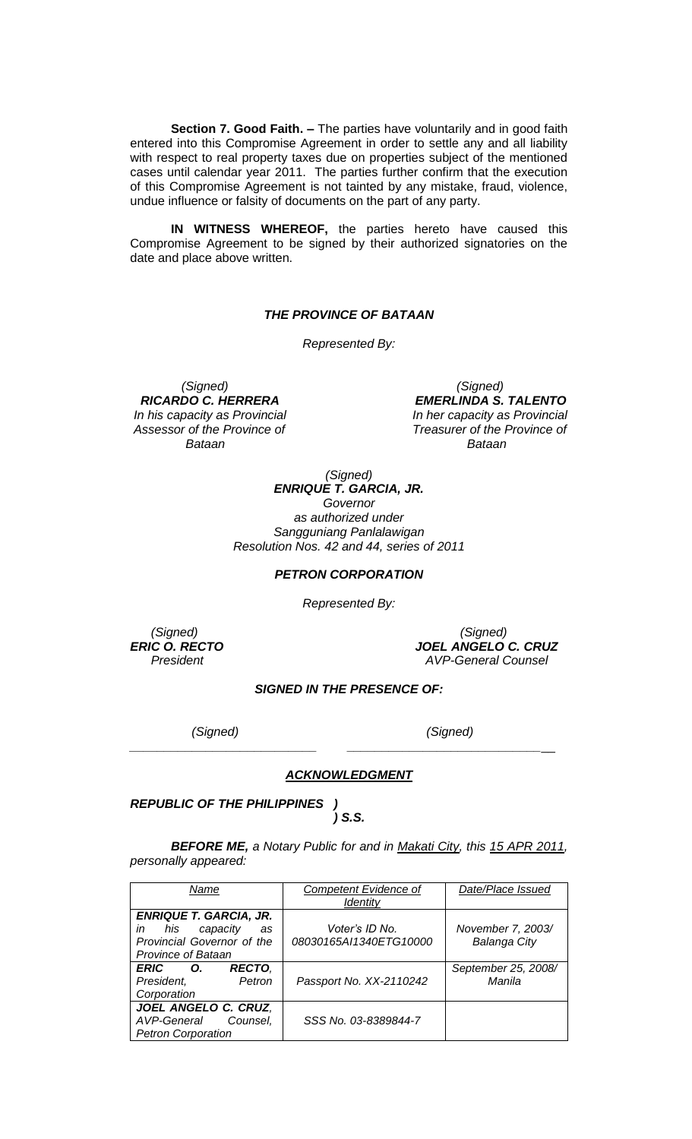**Section 7. Good Faith. –** The parties have voluntarily and in good faith entered into this Compromise Agreement in order to settle any and all liability with respect to real property taxes due on properties subject of the mentioned cases until calendar year 2011. The parties further confirm that the execution of this Compromise Agreement is not tainted by any mistake, fraud, violence, undue influence or falsity of documents on the part of any party.

**IN WITNESS WHEREOF,** the parties hereto have caused this Compromise Agreement to be signed by their authorized signatories on the date and place above written.

#### *THE PROVINCE OF BATAAN*

*Represented By:*

 *(Signed) (Signed) Bataan Bataan*

*EMERLINDA S. TALENTO In his capacity as Provincial* **In her capacity as Provincial** *Assessor of the Province of Treasurer of the Province of*

> *(Signed) ENRIQUE T. GARCIA, JR. Governor as authorized under Sangguniang Panlalawigan Resolution Nos. 42 and 44, series of 2011*

## *PETRON CORPORATION*

*Represented By:*

 *(Signed) (Signed) ERIC O. RECTO JOEL ANGELO C. CRUZ President AVP-General Counsel*

### *SIGNED IN THE PRESENCE OF:*

 *(Signed) (Signed)*

#### *ACKNOWLEDGMENT*

*\_\_\_\_\_\_\_\_\_\_\_\_\_\_\_\_\_\_\_\_\_\_\_\_\_\_\_ \_\_\_\_\_\_\_\_\_\_\_\_\_\_\_\_\_\_\_\_\_\_\_\_\_\_\_\_*\_\_

*REPUBLIC OF THE PHILIPPINES )*

*) S.S.*

*BEFORE ME, a Notary Public for and in Makati City, this 15 APR 2011, personally appeared:*

| Name                          | Competent Evidence of   | Date/Place Issued   |
|-------------------------------|-------------------------|---------------------|
|                               | <b>Identity</b>         |                     |
| <b>ENRIQUE T. GARCIA, JR.</b> |                         |                     |
| his<br>capacity<br>in<br>as   | Voter's ID No.          | November 7, 2003/   |
| Provincial Governor of the    | 08030165AI1340ETG10000  | <b>Balanga City</b> |
| <b>Province of Bataan</b>     |                         |                     |
| <b>RECTO,</b><br>ERIC O.      |                         | September 25, 2008/ |
| President,<br>Petron          | Passport No. XX-2110242 | Manila              |
| Corporation                   |                         |                     |
| JOEL ANGELO C. CRUZ,          |                         |                     |
| AVP-General Counsel,          | SSS No. 03-8389844-7    |                     |
| <b>Petron Corporation</b>     |                         |                     |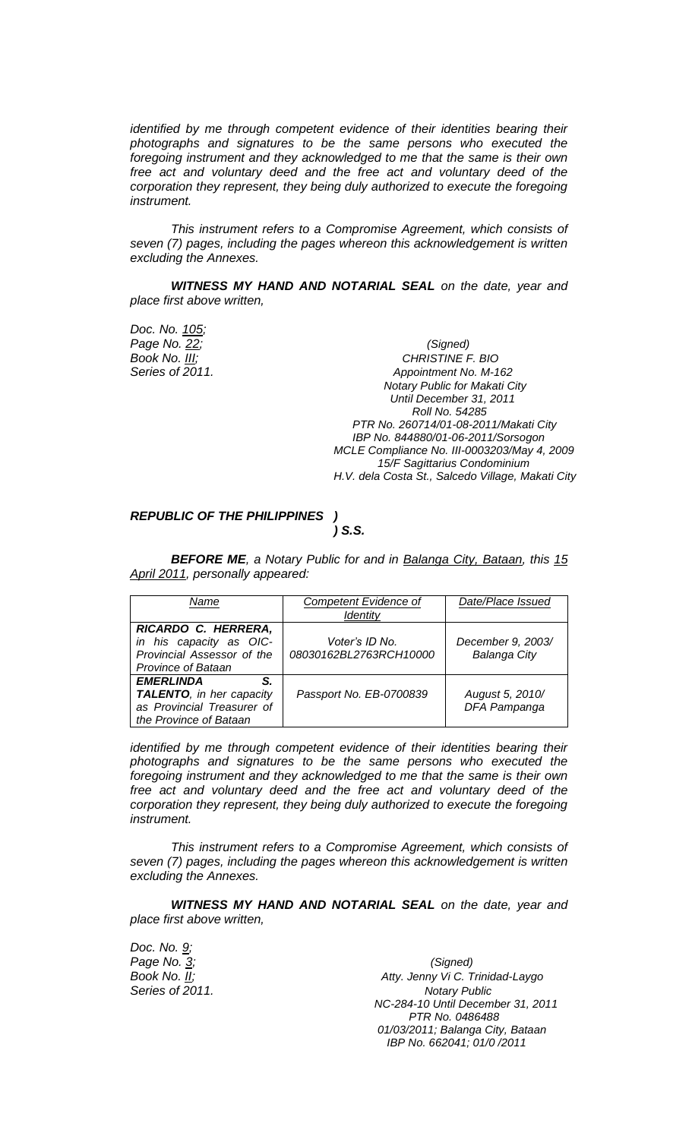*identified by me through competent evidence of their identities bearing their photographs and signatures to be the same persons who executed the foregoing instrument and they acknowledged to me that the same is their own free act and voluntary deed and the free act and voluntary deed of the corporation they represent, they being duly authorized to execute the foregoing instrument.*

*This instrument refers to a Compromise Agreement, which consists of seven (7) pages, including the pages whereon this acknowledgement is written excluding the Annexes.*

*WITNESS MY HAND AND NOTARIAL SEAL on the date, year and place first above written,*

*Doc. No. 105;*

*Page No. 22; (Signed) Book No. III; CHRISTINE F. BIO* **Series of 2011. Appointment No. M-162**  *Notary Public for Makati City Until December 31, 2011 Roll No. 54285 PTR No. 260714/01-08-2011/Makati City IBP No. 844880/01-06-2011/Sorsogon MCLE Compliance No. III-0003203/May 4, 2009 15/F Sagittarius Condominium H.V. dela Costa St., Salcedo Village, Makati City*

*REPUBLIC OF THE PHILIPPINES ) ) S.S.*

*BEFORE ME, a Notary Public for and in Balanga City, Bataan, this 15 April 2011, personally appeared:*

| Name                       | <b>Competent Evidence of</b> | Date/Place Issued   |
|----------------------------|------------------------------|---------------------|
|                            | Identity                     |                     |
| RICARDO C. HERRERA,        |                              |                     |
| in his capacity as OIC-    | Voter's ID No.               | December 9, 2003/   |
| Provincial Assessor of the | 08030162BL2763RCH10000       | <b>Balanga City</b> |
| <b>Province of Bataan</b>  |                              |                     |
| <b>EMERLINDA</b><br>S.     |                              |                     |
| TALENTO, in her capacity   | Passport No. EB-0700839      | August 5, 2010/     |
| as Provincial Treasurer of |                              | DFA Pampanga        |
| the Province of Bataan     |                              |                     |

*identified by me through competent evidence of their identities bearing their photographs and signatures to be the same persons who executed the foregoing instrument and they acknowledged to me that the same is their own free act and voluntary deed and the free act and voluntary deed of the corporation they represent, they being duly authorized to execute the foregoing instrument.*

*This instrument refers to a Compromise Agreement, which consists of seven (7) pages, including the pages whereon this acknowledgement is written excluding the Annexes.*

*WITNESS MY HAND AND NOTARIAL SEAL on the date, year and place first above written,*

*Doc. No. 9; Page No. 3; (Signed)*

*Book No. II; Atty. Jenny Vi C. Trinidad-Laygo* **Series of 2011. Notary Public Notary Public** *NC-284-10 Until December 31, 2011 PTR No. 0486488 01/03/2011; Balanga City, Bataan IBP No. 662041; 01/0 /2011*